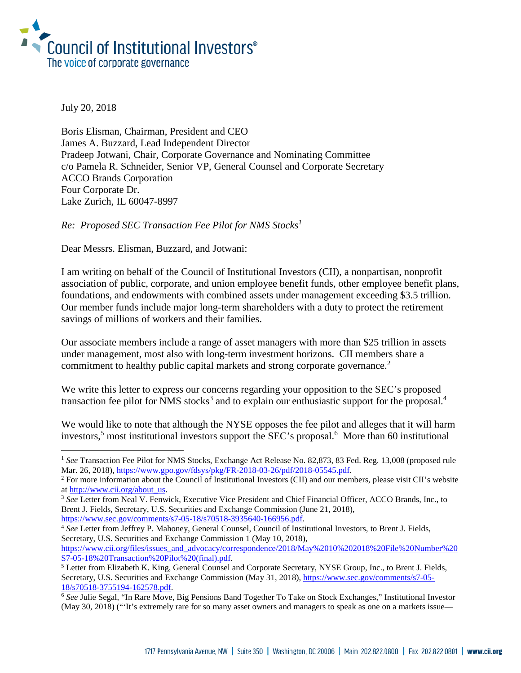

July 20, 2018

i<br>I

Boris Elisman, Chairman, President and CEO James A. Buzzard, Lead Independent Director Pradeep Jotwani, Chair, Corporate Governance and Nominating Committee c/o Pamela R. Schneider, Senior VP, General Counsel and Corporate Secretary ACCO Brands Corporation Four Corporate Dr. Lake Zurich, IL 60047-8997

*Re: Proposed SEC Transaction Fee Pilot for NMS Stocks<sup>1</sup>*

Dear Messrs. Elisman, Buzzard, and Jotwani:

I am writing on behalf of the Council of Institutional Investors (CII), a nonpartisan, nonprofit association of public, corporate, and union employee benefit funds, other employee benefit plans, foundations, and endowments with combined assets under management exceeding \$3.5 trillion. Our member funds include major long-term shareholders with a duty to protect the retirement savings of millions of workers and their families.

Our associate members include a range of asset managers with more than \$25 trillion in assets under management, most also with long-term investment horizons. CII members share a commitment to healthy public capital markets and strong corporate governance. 2

We write this letter to express our concerns regarding your opposition to the SEC's proposed transaction fee pilot for NMS stocks<sup>3</sup> and to explain our enthusiastic support for the proposal.<sup>4</sup>

We would like to note that although the NYSE opposes the fee pilot and alleges that it will harm investors,<sup>5</sup> most institutional investors support the SEC's proposal.<sup>6</sup> More than 60 institutional

<sup>&</sup>lt;sup>1</sup> See Transaction Fee Pilot for NMS Stocks, Exchange Act Release No. 82,873, 83 Fed. Reg. 13,008 (proposed rule Mar. 26, 2018), [https://www.gpo.gov/fdsys/pkg/FR-2018-03-26/pdf/2018-05545.pdf.](https://www.gpo.gov/fdsys/pkg/FR-2018-03-26/pdf/2018-05545.pdf)

<sup>&</sup>lt;sup>2</sup> For more information about the Council of Institutional Investors (CII) and our members, please visit CII's website a[t http://www.cii.org/about\\_us.](http://www.cii.org/about_us)

<sup>3</sup> *See* Letter from Neal V. Fenwick, Executive Vice President and Chief Financial Officer, ACCO Brands, Inc., to Brent J. Fields, Secretary, U.S. Securities and Exchange Commission (June 21, 2018), [https://www.sec.gov/comments/s7-05-18/s70518-3935640-166956.pdf.](https://www.sec.gov/comments/s7-05-18/s70518-3935640-166956.pdf)

<sup>4</sup> *See* Letter from Jeffrey P. Mahoney, General Counsel, Council of Institutional Investors, to Brent J. Fields, Secretary, U.S. Securities and Exchange Commission 1 (May 10, 2018),

[https://www.cii.org/files/issues\\_and\\_advocacy/correspondence/2018/May%2010%202018%20File%20Number%20](https://www.cii.org/files/issues_and_advocacy/correspondence/2018/May%2010%202018%20File%20Number%20S7-05-18%20Transaction%20Pilot%20(final).pdf) [S7-05-18%20Transaction%20Pilot%20\(final\).pdf.](https://www.cii.org/files/issues_and_advocacy/correspondence/2018/May%2010%202018%20File%20Number%20S7-05-18%20Transaction%20Pilot%20(final).pdf)

<sup>&</sup>lt;sup>5</sup> Letter from Elizabeth K. King, General Counsel and Corporate Secretary, NYSE Group, Inc., to Brent J. Fields, Secretary, U.S. Securities and Exchange Commission (May 31, 2018), [https://www.sec.gov/comments/s7-05-](https://www.sec.gov/comments/s7-05-18/s70518-3755194-162578.pdf) [18/s70518-3755194-162578.pdf.](https://www.sec.gov/comments/s7-05-18/s70518-3755194-162578.pdf)

<sup>6</sup> *See* Julie Segal, "In Rare Move, Big Pensions Band Together To Take on Stock Exchanges," Institutional Investor (May 30, 2018) ("'It's extremely rare for so many asset owners and managers to speak as one on a markets issue—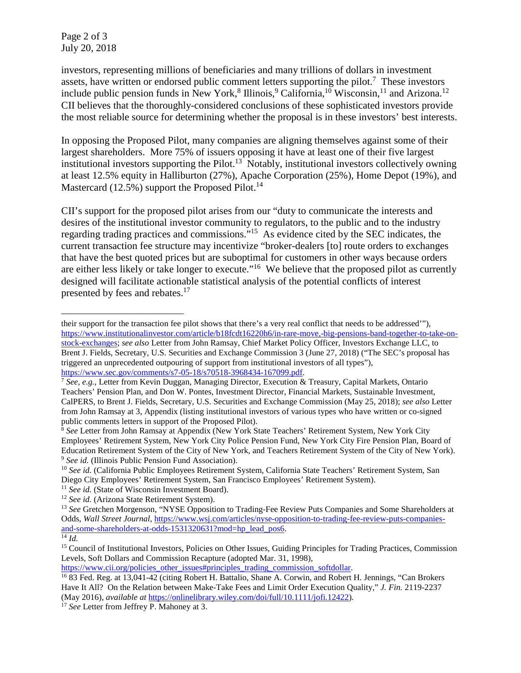Page 2 of 3 July 20, 2018

investors, representing millions of beneficiaries and many trillions of dollars in investment assets, have written or endorsed public comment letters supporting the pilot.<sup>7</sup> These investors include public pension funds in New York,<sup>8</sup> Illinois,<sup>9</sup> California,<sup>10</sup> Wisconsin,<sup>11</sup> and Arizona.<sup>12</sup> CII believes that the thoroughly-considered conclusions of these sophisticated investors provide the most reliable source for determining whether the proposal is in these investors' best interests.

In opposing the Proposed Pilot, many companies are aligning themselves against some of their largest shareholders. More 75% of issuers opposing it have at least one of their five largest institutional investors supporting the Pilot.<sup>13</sup> Notably, institutional investors collectively owning at least 12.5% equity in Halliburton (27%), Apache Corporation (25%), Home Depot (19%), and Mastercard (12.5%) support the Proposed Pilot.<sup>14</sup>

CII's support for the proposed pilot arises from our "duty to communicate the interests and desires of the institutional investor community to regulators, to the public and to the industry regarding trading practices and commissions."15 As evidence cited by the SEC indicates, the current transaction fee structure may incentivize "broker-dealers [to] route orders to exchanges that have the best quoted prices but are suboptimal for customers in other ways because orders are either less likely or take longer to execute."16 We believe that the proposed pilot as currently designed will facilitate actionable statistical analysis of the potential conflicts of interest presented by fees and rebates.<sup>17</sup>

i their support for the transaction fee pilot shows that there's a very real conflict that needs to be addressed'"), [https://www.institutionalinvestor.com/article/b18fcdt16220h6/in-rare-move,-big-pensions-band-together-to-take-on](https://www.institutionalinvestor.com/article/b18fcdt16220h6/in-rare-move,-big-pensions-band-together-to-take-on-stock-exchanges)[stock-exchanges;](https://www.institutionalinvestor.com/article/b18fcdt16220h6/in-rare-move,-big-pensions-band-together-to-take-on-stock-exchanges) *see also* Letter from John Ramsay, Chief Market Policy Officer, Investors Exchange LLC, to Brent J. Fields, Secretary, U.S. Securities and Exchange Commission 3 (June 27, 2018) ("The SEC's proposal has triggered an unprecedented outpouring of support from institutional investors of all types"),

[https://www.sec.gov/comments/s7-05-18/s70518-3968434-167099.pdf.](https://www.sec.gov/comments/s7-05-18/s70518-3968434-167099.pdf)

<sup>7</sup> *See, e.g.*, Letter from Kevin Duggan, Managing Director, Execution & Treasury, Capital Markets, Ontario Teachers' Pension Plan, and Don W. Pontes, Investment Director, Financial Markets, Sustainable Investment, CalPERS, to Brent J. Fields, Secretary, U.S. Securities and Exchange Commission (May 25, 2018); *see also* Letter from John Ramsay at 3, Appendix (listing institutional investors of various types who have written or co-signed public comments letters in support of the Proposed Pilot).

<sup>&</sup>lt;sup>8</sup> See Letter from John Ramsay at Appendix (New York State Teachers' Retirement System, New York City Employees' Retirement System, New York City Police Pension Fund, New York City Fire Pension Plan, Board of Education Retirement System of the City of New York, and Teachers Retirement System of the City of New York). <sup>9</sup> *See id.* (Illinois Public Pension Fund Association).

<sup>&</sup>lt;sup>10</sup> See id. (California Public Employees Retirement System, California State Teachers' Retirement System, San Diego City Employees' Retirement System, San Francisco Employees' Retirement System).

<sup>&</sup>lt;sup>11</sup> *See id.* (State of Wisconsin Investment Board).

<sup>12</sup> *See id.* (Arizona State Retirement System).

<sup>13</sup> *See* Gretchen Morgenson, "NYSE Opposition to Trading-Fee Review Puts Companies and Some Shareholders at Odds, *Wall Street Journal*, [https://www.wsj.com/articles/nyse-opposition-to-trading-fee-review-puts-companies](https://www.wsj.com/articles/nyse-opposition-to-trading-fee-review-puts-companies-and-some-shareholders-at-odds-1531320631?mod=hp_lead_pos6)[and-some-shareholders-at-odds-1531320631?mod=hp\\_lead\\_pos6.](https://www.wsj.com/articles/nyse-opposition-to-trading-fee-review-puts-companies-and-some-shareholders-at-odds-1531320631?mod=hp_lead_pos6)  $\overline{^{14}Id}$ .

<sup>&</sup>lt;sup>15</sup> Council of Institutional Investors, Policies on Other Issues, Guiding Principles for Trading Practices, Commission Levels, Soft Dollars and Commission Recapture (adopted Mar. 31, 1998),

[https://www.cii.org/policies\\_other\\_issues#principles\\_trading\\_commission\\_softdollar.](https://www.cii.org/policies_other_issues#principles_trading_commission_softdollar)

<sup>16</sup> 83 Fed. Reg. at 13,041-42 (citing Robert H. Battalio, Shane A. Corwin, and Robert H. Jennings, "Can Brokers Have It All? On the Relation between Make-Take Fees and Limit Order Execution Quality," *J. Fin.* 2119-2237 (May 2016), *available at* [https://onlinelibrary.wiley.com/doi/full/10.1111/jofi.12422\)](https://onlinelibrary.wiley.com/doi/full/10.1111/jofi.12422).

<sup>&</sup>lt;sup>17</sup> *See* Letter from Jeffrey P. Mahoney at 3.